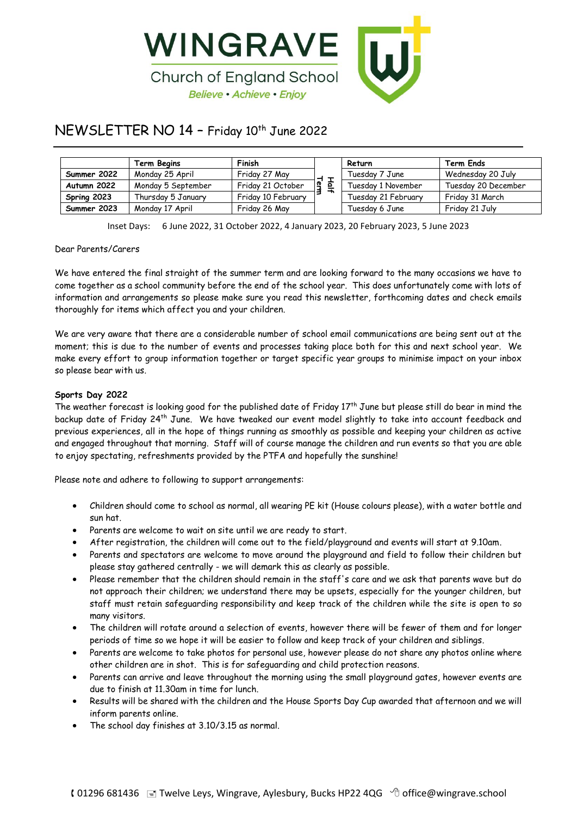

# NEWSLETTER NO 14 – Friday 10 th June 2022

|             | Term Begins        | Finish             |                | Return              | <b>Term Ends</b>    |
|-------------|--------------------|--------------------|----------------|---------------------|---------------------|
| Summer 2022 | Monday 25 April    | Friday 27 May      |                | Tuesday 7 June      | Wednesday 20 July   |
| Autumn 2022 | Monday 5 September | Friday 21 October  | $\overline{2}$ | Tuesdav 1 November  | Tuesday 20 December |
| Spring 2023 | Thursday 5 January | Friday 10 February | ∽              | Tuesdav 21 Februarv | Fridav 31 March     |
| Summer 2023 | Monday 17 April    | Friday 26 May      |                | Tuesdav 6 June      | Friday 21 July      |

Inset Days: 6 June 2022, 31 October 2022, 4 January 2023, 20 February 2023, 5 June 2023

# Dear Parents/Carers

We have entered the final straight of the summer term and are looking forward to the many occasions we have to come together as a school community before the end of the school year. This does unfortunately come with lots of information and arrangements so please make sure you read this newsletter, forthcoming dates and check emails thoroughly for items which affect you and your children.

We are very aware that there are a considerable number of school email communications are being sent out at the moment; this is due to the number of events and processes taking place both for this and next school year. We make every effort to group information together or target specific year groups to minimise impact on your inbox so please bear with us.

# **Sports Day 2022**

The weather forecast is looking good for the published date of Friday  $17^{th}$  June but please still do bear in mind the backup date of Friday 24<sup>th</sup> June. We have tweaked our event model slightly to take into account feedback and previous experiences, all in the hope of things running as smoothly as possible and keeping your children as active and engaged throughout that morning. Staff will of course manage the children and run events so that you are able to enjoy spectating, refreshments provided by the PTFA and hopefully the sunshine!

Please note and adhere to following to support arrangements:

- Children should come to school as normal, all wearing PE kit (House colours please), with a water bottle and sun hat.
- Parents are welcome to wait on site until we are ready to start.
- After registration, the children will come out to the field/playground and events will start at 9.10am.
- Parents and spectators are welcome to move around the playground and field to follow their children but please stay gathered centrally - we will demark this as clearly as possible.
- Please remember that the children should remain in the staff's care and we ask that parents wave but do not approach their children; we understand there may be upsets, especially for the younger children, but staff must retain safeguarding responsibility and keep track of the children while the site is open to so many visitors.
- The children will rotate around a selection of events, however there will be fewer of them and for longer periods of time so we hope it will be easier to follow and keep track of your children and siblings.
- Parents are welcome to take photos for personal use, however please do not share any photos online where other children are in shot. This is for safeguarding and child protection reasons.
- Parents can arrive and leave throughout the morning using the small playground gates, however events are due to finish at 11.30am in time for lunch.
- Results will be shared with the children and the House Sports Day Cup awarded that afternoon and we will inform parents online.
- The school day finishes at 3.10/3.15 as normal.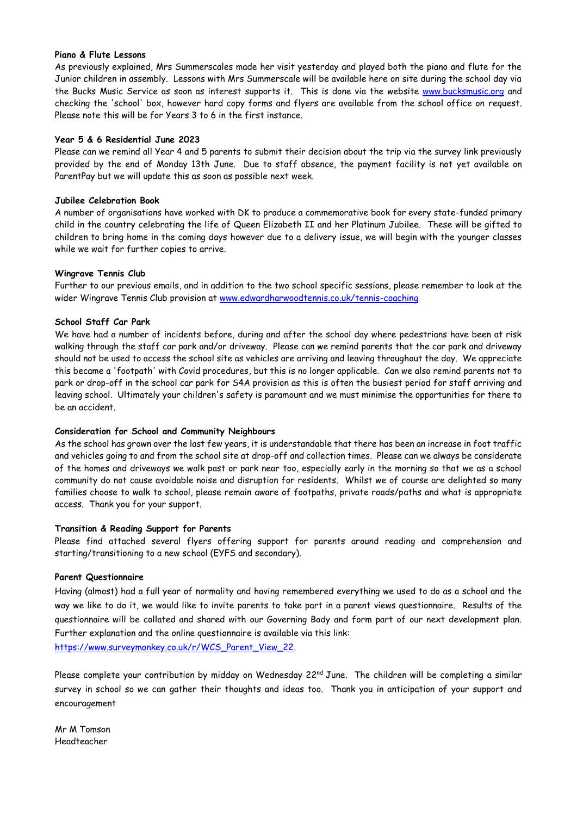# **Piano & Flute Lessons**

As previously explained, Mrs Summerscales made her visit yesterday and played both the piano and flute for the Junior children in assembly. Lessons with Mrs Summerscale will be available here on site during the school day via the Bucks Music Service as soon as interest supports it. This is done via the website [www.bucksmusic.org](http://www.bucksmusic.org/) and checking the 'school' box, however hard copy forms and flyers are available from the school office on request. Please note this will be for Years 3 to 6 in the first instance.

# **Year 5 & 6 Residential June 2023**

Please can we remind all Year 4 and 5 parents to submit their decision about the trip via the survey link previously provided by the end of Monday 13th June. Due to staff absence, the payment facility is not yet available on ParentPay but we will update this as soon as possible next week.

# **Jubilee Celebration Book**

A number of organisations have worked with DK to produce a commemorative book for every state-funded primary child in the country celebrating the life of Queen Elizabeth II and her Platinum Jubilee. These will be gifted to children to bring home in the coming days however due to a delivery issue, we will begin with the younger classes while we wait for further copies to arrive.

# **Wingrave Tennis Club**

Further to our previous emails, and in addition to the two school specific sessions, please remember to look at the wider Wingrave Tennis Club provision at [www.edwardharwoodtennis.co.uk/tennis-coaching](https://www.edwardharwoodtennis.co.uk/tennis-coaching)

# **School Staff Car Park**

We have had a number of incidents before, during and after the school day where pedestrians have been at risk walking through the staff car park and/or driveway. Please can we remind parents that the car park and driveway should not be used to access the school site as vehicles are arriving and leaving throughout the day. We appreciate this became a 'footpath' with Covid procedures, but this is no longer applicable. Can we also remind parents not to park or drop-off in the school car park for S4A provision as this is often the busiest period for staff arriving and leaving school. Ultimately your children's safety is paramount and we must minimise the opportunities for there to be an accident.

#### **Consideration for School and Community Neighbours**

As the school has grown over the last few years, it is understandable that there has been an increase in foot traffic and vehicles going to and from the school site at drop-off and collection times. Please can we always be considerate of the homes and driveways we walk past or park near too, especially early in the morning so that we as a school community do not cause avoidable noise and disruption for residents. Whilst we of course are delighted so many families choose to walk to school, please remain aware of footpaths, private roads/paths and what is appropriate access. Thank you for your support.

# **Transition & Reading Support for Parents**

Please find attached several flyers offering support for parents around reading and comprehension and starting/transitioning to a new school (EYFS and secondary).

# **Parent Questionnaire**

Having (almost) had a full year of normality and having remembered everything we used to do as a school and the way we like to do it, we would like to invite parents to take part in a parent views questionnaire. Results of the questionnaire will be collated and shared with our Governing Body and form part of our next development plan. Further explanation and the online questionnaire is available via this link: [https://www.surveymonkey.co.uk/r/WCS\\_Parent\\_View\\_22.](https://www.surveymonkey.co.uk/r/WCS_Parent_View_22)

Please complete your contribution by midday on Wednesday 22<sup>nd</sup> June. The children will be completing a similar survey in school so we can gather their thoughts and ideas too. Thank you in anticipation of your support and encouragement

Mr M Tomson Headteacher